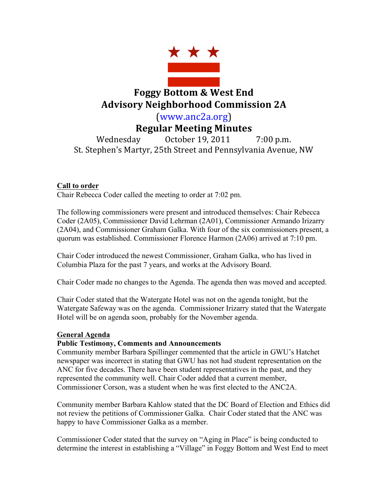

# **Foggy Bottom & West End Advisory Neighborhood Commission 2A**

(www.anc2a.org)

## **Regular Meeting Minutes**

Wednesday October 19, 2011 7:00 p.m. St. Stephen's Martyr, 25th Street and Pennsylvania Avenue, NW

## **Call to order**

Chair Rebecca Coder called the meeting to order at 7:02 pm.

The following commissioners were present and introduced themselves: Chair Rebecca Coder (2A05), Commissioner David Lehrman (2A01), Commissioner Armando Irizarry (2A04), and Commissioner Graham Galka. With four of the six commissioners present, a quorum was established. Commissioner Florence Harmon (2A06) arrived at 7:10 pm.

Chair Coder introduced the newest Commissioner, Graham Galka, who has lived in Columbia Plaza for the past 7 years, and works at the Advisory Board.

Chair Coder made no changes to the Agenda. The agenda then was moved and accepted.

Chair Coder stated that the Watergate Hotel was not on the agenda tonight, but the Watergate Safeway was on the agenda. Commissioner Irizarry stated that the Watergate Hotel will be on agenda soon, probably for the November agenda.

## **General Agenda**

## **Public Testimony, Comments and Announcements**

Community member Barbara Spillinger commented that the article in GWU's Hatchet newspaper was incorrect in stating that GWU has not had student representation on the ANC for five decades. There have been student representatives in the past, and they represented the community well. Chair Coder added that a current member, Commissioner Corson, was a student when he was first elected to the ANC2A.

Community member Barbara Kahlow stated that the DC Board of Election and Ethics did not review the petitions of Commissioner Galka. Chair Coder stated that the ANC was happy to have Commissioner Galka as a member.

Commissioner Coder stated that the survey on "Aging in Place" is being conducted to determine the interest in establishing a "Village" in Foggy Bottom and West End to meet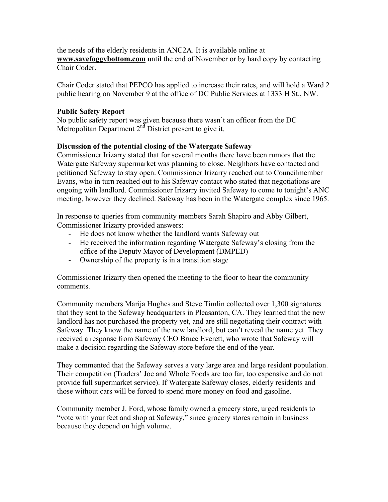the needs of the elderly residents in ANC2A. It is available online at **www.savefoggybottom.com** until the end of November or by hard copy by contacting Chair Coder.

Chair Coder stated that PEPCO has applied to increase their rates, and will hold a Ward 2 public hearing on November 9 at the office of DC Public Services at 1333 H St., NW.

## **Public Safety Report**

No public safety report was given because there wasn't an officer from the DC Metropolitan Department  $2<sup>nd</sup>$  District present to give it.

## **Discussion of the potential closing of the Watergate Safeway**

Commissioner Irizarry stated that for several months there have been rumors that the Watergate Safeway supermarket was planning to close. Neighbors have contacted and petitioned Safeway to stay open. Commissioner Irizarry reached out to Councilmember Evans, who in turn reached out to his Safeway contact who stated that negotiations are ongoing with landlord. Commissioner Irizarry invited Safeway to come to tonight's ANC meeting, however they declined. Safeway has been in the Watergate complex since 1965.

In response to queries from community members Sarah Shapiro and Abby Gilbert, Commissioner Irizarry provided answers:

- He does not know whether the landlord wants Safeway out
- He received the information regarding Watergate Safeway's closing from the office of the Deputy Mayor of Development (DMPED)
- Ownership of the property is in a transition stage

Commissioner Irizarry then opened the meeting to the floor to hear the community comments.

Community members Marija Hughes and Steve Timlin collected over 1,300 signatures that they sent to the Safeway headquarters in Pleasanton, CA. They learned that the new landlord has not purchased the property yet, and are still negotiating their contract with Safeway. They know the name of the new landlord, but can't reveal the name yet. They received a response from Safeway CEO Bruce Everett, who wrote that Safeway will make a decision regarding the Safeway store before the end of the year.

They commented that the Safeway serves a very large area and large resident population. Their competition (Traders' Joe and Whole Foods are too far, too expensive and do not provide full supermarket service). If Watergate Safeway closes, elderly residents and those without cars will be forced to spend more money on food and gasoline.

Community member J. Ford, whose family owned a grocery store, urged residents to "vote with your feet and shop at Safeway," since grocery stores remain in business because they depend on high volume.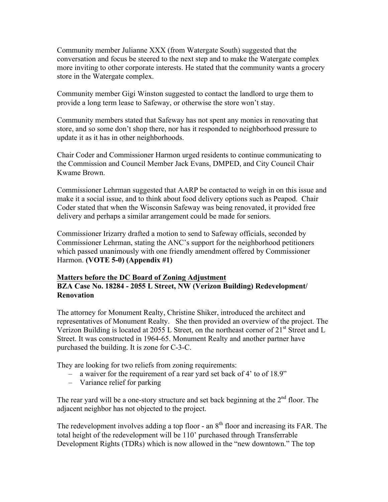Community member Julianne XXX (from Watergate South) suggested that the conversation and focus be steered to the next step and to make the Watergate complex more inviting to other corporate interests. He stated that the community wants a grocery store in the Watergate complex.

Community member Gigi Winston suggested to contact the landlord to urge them to provide a long term lease to Safeway, or otherwise the store won't stay.

Community members stated that Safeway has not spent any monies in renovating that store, and so some don't shop there, nor has it responded to neighborhood pressure to update it as it has in other neighborhoods.

Chair Coder and Commissioner Harmon urged residents to continue communicating to the Commission and Council Member Jack Evans, DMPED, and City Council Chair Kwame Brown.

Commissioner Lehrman suggested that AARP be contacted to weigh in on this issue and make it a social issue, and to think about food delivery options such as Peapod. Chair Coder stated that when the Wisconsin Safeway was being renovated, it provided free delivery and perhaps a similar arrangement could be made for seniors.

Commissioner Irizarry drafted a motion to send to Safeway officials, seconded by Commissioner Lehrman, stating the ANC's support for the neighborhood petitioners which passed unanimously with one friendly amendment offered by Commissioner Harmon. **(VOTE 5-0) (Appendix #1)**

#### **Matters before the DC Board of Zoning Adjustment BZA Case No. 18284 - 2055 L Street, NW (Verizon Building) Redevelopment/ Renovation**

The attorney for Monument Realty, Christine Shiker, introduced the architect and representatives of Monument Realty. She then provided an overview of the project. The Verizon Building is located at 2055 L Street, on the northeast corner of  $21<sup>st</sup>$  Street and L Street. It was constructed in 1964-65. Monument Realty and another partner have purchased the building. It is zone for C-3-C.

They are looking for two reliefs from zoning requirements:

- a waiver for the requirement of a rear yard set back of 4' to of 18.9"
- Variance relief for parking

The rear yard will be a one-story structure and set back beginning at the  $2<sup>nd</sup>$  floor. The adjacent neighbor has not objected to the project.

The redevelopment involves adding a top floor - an  $8<sup>th</sup>$  floor and increasing its FAR. The total height of the redevelopment will be 110' purchased through Transferrable Development Rights (TDRs) which is now allowed in the "new downtown." The top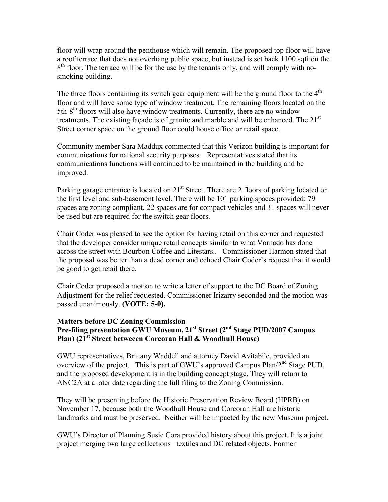floor will wrap around the penthouse which will remain. The proposed top floor will have a roof terrace that does not overhang public space, but instead is set back 1100 sqft on the  $8<sup>th</sup>$  floor. The terrace will be for the use by the tenants only, and will comply with nosmoking building.

The three floors containing its switch gear equipment will be the ground floor to the  $4<sup>th</sup>$ floor and will have some type of window treatment. The remaining floors located on the  $5th-8<sup>th</sup>$  floors will also have window treatments. Currently, there are no window treatments. The existing facade is of granite and marble and will be enhanced. The  $21<sup>st</sup>$ Street corner space on the ground floor could house office or retail space.

Community member Sara Maddux commented that this Verizon building is important for communications for national security purposes. Representatives stated that its communications functions will continued to be maintained in the building and be improved.

Parking garage entrance is located on  $21<sup>st</sup>$  Street. There are 2 floors of parking located on the first level and sub-basement level. There will be 101 parking spaces provided: 79 spaces are zoning compliant, 22 spaces are for compact vehicles and 31 spaces will never be used but are required for the switch gear floors.

Chair Coder was pleased to see the option for having retail on this corner and requested that the developer consider unique retail concepts similar to what Vornado has done across the street with Bourbon Coffee and Litestars.. Commissioner Harmon stated that the proposal was better than a dead corner and echoed Chair Coder's request that it would be good to get retail there.

Chair Coder proposed a motion to write a letter of support to the DC Board of Zoning Adjustment for the relief requested. Commissioner Irizarry seconded and the motion was passed unanimously. **(VOTE: 5-0).**

#### **Matters before DC Zoning Commission**

## **Pre-filing presentation GWU Museum, 21st Street (2nd Stage PUD/2007 Campus Plan) (21st Street betweeen Corcoran Hall & Woodhull House)**

GWU representatives, Brittany Waddell and attorney David Avitabile, provided an overview of the project. This is part of GWU's approved Campus  $Plan/2<sup>nd</sup> Stage PUD$ , and the proposed development is in the building concept stage. They will return to ANC2A at a later date regarding the full filing to the Zoning Commission.

They will be presenting before the Historic Preservation Review Board (HPRB) on November 17, because both the Woodhull House and Corcoran Hall are historic landmarks and must be preserved. Neither will be impacted by the new Museum project.

GWU's Director of Planning Susie Cora provided history about this project. It is a joint project merging two large collections– textiles and DC related objects. Former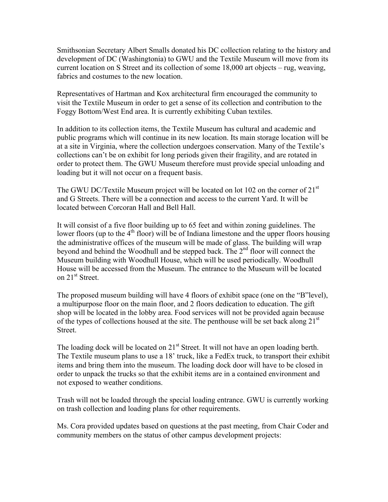Smithsonian Secretary Albert Smalls donated his DC collection relating to the history and development of DC (Washingtonia) to GWU and the Textile Museum will move from its current location on S Street and its collection of some 18,000 art objects – rug, weaving, fabrics and costumes to the new location.

Representatives of Hartman and Kox architectural firm encouraged the community to visit the Textile Museum in order to get a sense of its collection and contribution to the Foggy Bottom/West End area. It is currently exhibiting Cuban textiles.

In addition to its collection items, the Textile Museum has cultural and academic and public programs which will continue in its new location. Its main storage location will be at a site in Virginia, where the collection undergoes conservation. Many of the Textile's collections can't be on exhibit for long periods given their fragility, and are rotated in order to protect them. The GWU Museum therefore must provide special unloading and loading but it will not occur on a frequent basis.

The GWU DC/Textile Museum project will be located on lot 102 on the corner of 21<sup>st</sup> and G Streets. There will be a connection and access to the current Yard. It will be located between Corcoran Hall and Bell Hall.

It will consist of a five floor building up to 65 feet and within zoning guidelines. The lower floors (up to the 4<sup>th</sup> floor) will be of Indiana limestone and the upper floors housing the administrative offices of the museum will be made of glass. The building will wrap beyond and behind the Woodhull and be stepped back. The 2<sup>nd</sup> floor will connect the Museum building with Woodhull House, which will be used periodically. Woodhull House will be accessed from the Museum. The entrance to the Museum will be located on 21<sup>st</sup> Street.

The proposed museum building will have 4 floors of exhibit space (one on the "B"level), a multipurpose floor on the main floor, and 2 floors dedication to education. The gift shop will be located in the lobby area. Food services will not be provided again because of the types of collections housed at the site. The penthouse will be set back along  $21<sup>st</sup>$ Street.

The loading dock will be located on  $21<sup>st</sup>$  Street. It will not have an open loading berth. The Textile museum plans to use a 18' truck, like a FedEx truck, to transport their exhibit items and bring them into the museum. The loading dock door will have to be closed in order to unpack the trucks so that the exhibit items are in a contained environment and not exposed to weather conditions.

Trash will not be loaded through the special loading entrance. GWU is currently working on trash collection and loading plans for other requirements.

Ms. Cora provided updates based on questions at the past meeting, from Chair Coder and community members on the status of other campus development projects: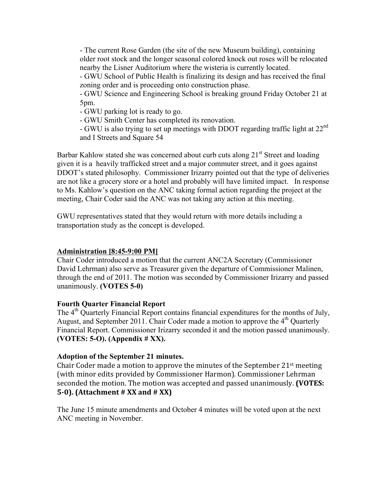- The current Rose Garden (the site of the new Museum building), containing older root stock and the longer seasonal colored knock out roses will be relocated nearby the Lisner Auditorium where the wisteria is currently located.

- GWU School of Public Health is finalizing its design and has received the final zoning order and is proceeding onto construction phase.

- GWU Science and Engineering School is breaking ground Friday October 21 at 5pm.

- GWU parking lot is ready to go.

- GWU Smith Center has completed its renovation.

- GWU is also trying to set up meetings with DDOT regarding traffic light at 22nd and I Streets and Square 54

Barbar Kahlow stated she was concerned about curb cuts along 21<sup>st</sup> Street and loading given it is a heavily trafficked street and a major commuter street, and it goes against DDOT's stated philosophy. Commissioner Irizarry pointed out that the type of deliveries are not like a grocery store or a hotel and probably will have limited impact. In response to Ms. Kahlow's question on the ANC taking formal action regarding the project at the meeting, Chair Coder said the ANC was not taking any action at this meeting.

GWU representatives stated that they would return with more details including a transportation study as the concept is developed.

#### **Administration [8:45-9:00 PM]**

Chair Coder introduced a motion that the current ANC2A Secretary (Commissioner David Lehrman) also serve as Treasurer given the departure of Commissioner Malinen, through the end of 2011. The motion was seconded by Commissioner Irizarry and passed unanimously. **(VOTES 5-0)**

#### **Fourth Quarter Financial Report**

The  $4<sup>th</sup>$  Quarterly Financial Report contains financial expenditures for the months of July, August, and September 2011. Chair Coder made a motion to approve the  $4<sup>th</sup>$  Quarterly Financial Report. Commissioner Irizarry seconded it and the motion passed unanimously. **(VOTES: 5-O). (Appendix # XX).**

#### **Adoption of the September 21 minutes.**

Chair Coder made a motion to approve the minutes of the September  $21^{st}$  meeting (with minor edits provided by Commissioner Harmon). Commissioner Lehrman seconded the motion. The motion was accepted and passed unanimously. **(VOTES: 5-0).** (Attachment # XX and # XX)

The June 15 minute amendments and October 4 minutes will be voted upon at the next ANC meeting in November.